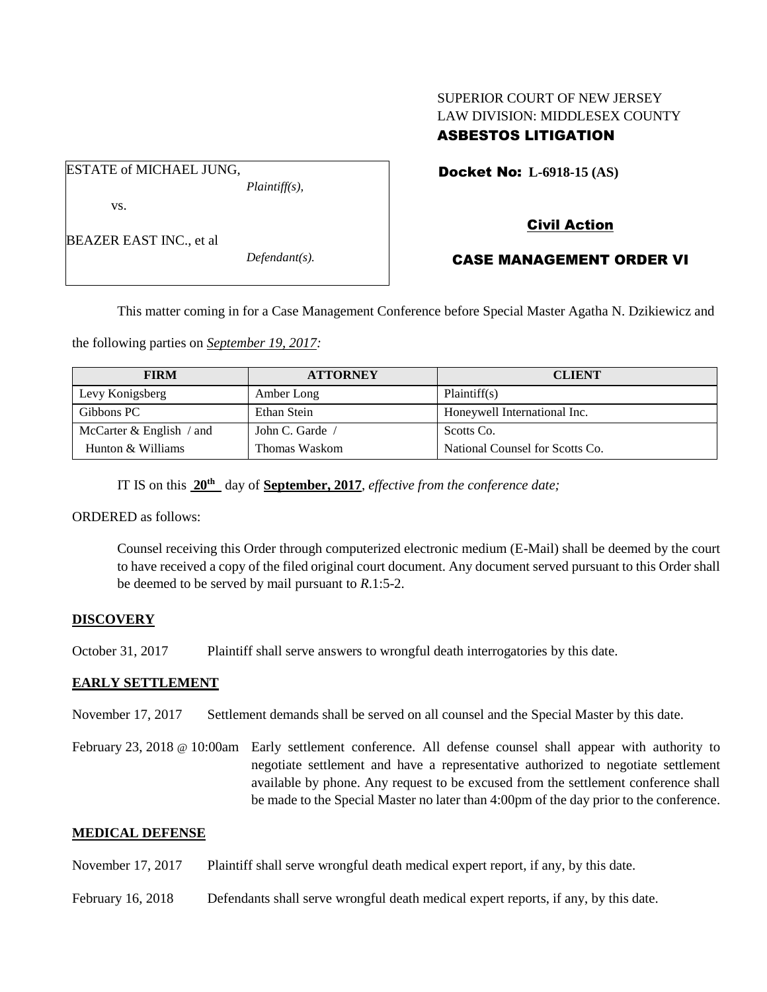# SUPERIOR COURT OF NEW JERSEY LAW DIVISION: MIDDLESEX COUNTY ASBESTOS LITIGATION

ESTATE of MICHAEL JUNG, *Plaintiff(s),* vs.

BEAZER EAST INC., et al

*Defendant(s).*

Docket No: **L-6918-15 (AS)** 

# Civil Action

### CASE MANAGEMENT ORDER VI

This matter coming in for a Case Management Conference before Special Master Agatha N. Dzikiewicz and

the following parties on *September 19, 2017:*

| <b>FIRM</b>                | <b>ATTORNEY</b> | <b>CLIENT</b>                   |
|----------------------------|-----------------|---------------------------------|
| Levy Konigsberg            | Amber Long      | Plaintiff(s)                    |
| Gibbons PC                 | Ethan Stein     | Honeywell International Inc.    |
| McCarter $&$ English / and | John C. Garde   | Scotts Co.                      |
| Hunton & Williams          | Thomas Waskom   | National Counsel for Scotts Co. |

IT IS on this **20th** day of **September, 2017**, *effective from the conference date;*

ORDERED as follows:

Counsel receiving this Order through computerized electronic medium (E-Mail) shall be deemed by the court to have received a copy of the filed original court document. Any document served pursuant to this Order shall be deemed to be served by mail pursuant to *R*.1:5-2.

### **DISCOVERY**

October 31, 2017 Plaintiff shall serve answers to wrongful death interrogatories by this date.

### **EARLY SETTLEMENT**

- November 17, 2017 Settlement demands shall be served on all counsel and the Special Master by this date.
- February 23, 2018 @ 10:00am Early settlement conference. All defense counsel shall appear with authority to negotiate settlement and have a representative authorized to negotiate settlement available by phone. Any request to be excused from the settlement conference shall be made to the Special Master no later than 4:00pm of the day prior to the conference.

### **MEDICAL DEFENSE**

- November 17, 2017 Plaintiff shall serve wrongful death medical expert report, if any, by this date.
- February 16, 2018 Defendants shall serve wrongful death medical expert reports, if any, by this date.